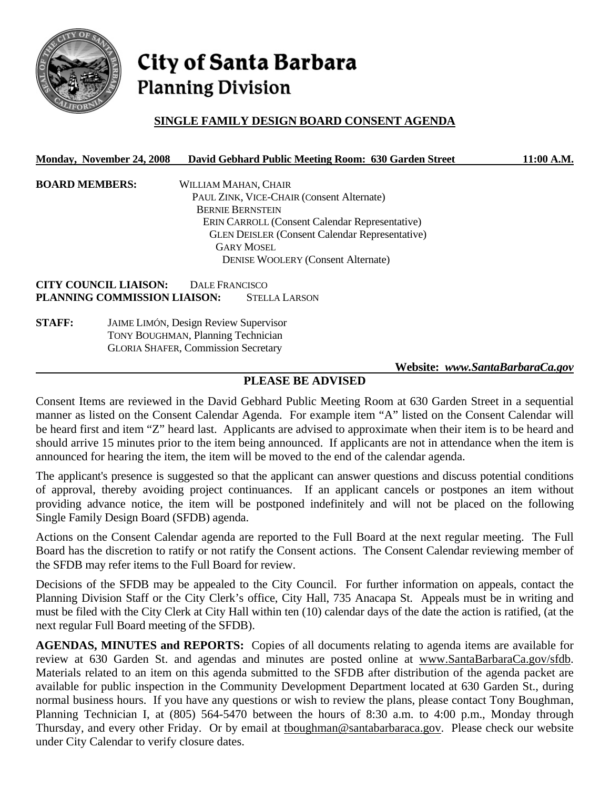

# City of Santa Barbara **Planning Division**

## **SINGLE FAMILY DESIGN BOARD CONSENT AGENDA**

#### **Monday, November 24, 2008 David Gebhard Public Meeting Room: 630 Garden Street 11:00 A.M.**

**BOARD MEMBERS:** WILLIAM MAHAN, CHAIR PAUL ZINK, VICE-CHAIR (Consent Alternate) BERNIE BERNSTEIN ERIN CARROLL (Consent Calendar Representative) GLEN DEISLER (Consent Calendar Representative) GARY MOSEL DENISE WOOLERY (Consent Alternate)

**CITY COUNCIL LIAISON:** DALE FRANCISCO **PLANNING COMMISSION LIAISON:** STELLA LARSON

**STAFF:** JAIME LIMÓN, Design Review Supervisor TONY BOUGHMAN, Planning Technician GLORIA SHAFER, Commission Secretary

 **Website:** *www.SantaBarbaraCa.gov*

## **PLEASE BE ADVISED**

Consent Items are reviewed in the David Gebhard Public Meeting Room at 630 Garden Street in a sequential manner as listed on the Consent Calendar Agenda. For example item "A" listed on the Consent Calendar will be heard first and item "Z" heard last. Applicants are advised to approximate when their item is to be heard and should arrive 15 minutes prior to the item being announced. If applicants are not in attendance when the item is announced for hearing the item, the item will be moved to the end of the calendar agenda.

The applicant's presence is suggested so that the applicant can answer questions and discuss potential conditions of approval, thereby avoiding project continuances. If an applicant cancels or postpones an item without providing advance notice, the item will be postponed indefinitely and will not be placed on the following Single Family Design Board (SFDB) agenda.

Actions on the Consent Calendar agenda are reported to the Full Board at the next regular meeting. The Full Board has the discretion to ratify or not ratify the Consent actions. The Consent Calendar reviewing member of the SFDB may refer items to the Full Board for review.

Decisions of the SFDB may be appealed to the City Council. For further information on appeals, contact the Planning Division Staff or the City Clerk's office, City Hall, 735 Anacapa St. Appeals must be in writing and must be filed with the City Clerk at City Hall within ten (10) calendar days of the date the action is ratified, (at the next regular Full Board meeting of the SFDB).

**AGENDAS, MINUTES and REPORTS:** Copies of all documents relating to agenda items are available for review at 630 Garden St. and agendas and minutes are posted online at www.SantaBarbaraCa.gov/sfdb. Materials related to an item on this agenda submitted to the SFDB after distribution of the agenda packet are available for public inspection in the Community Development Department located at 630 Garden St., during normal business hours. If you have any questions or wish to review the plans, please contact Tony Boughman, Planning Technician I, at (805) 564-5470 between the hours of 8:30 a.m. to 4:00 p.m., Monday through Thursday, and every other Friday. Or by email at tboughman@santabarbaraca.gov. Please check our website under City Calendar to verify closure dates.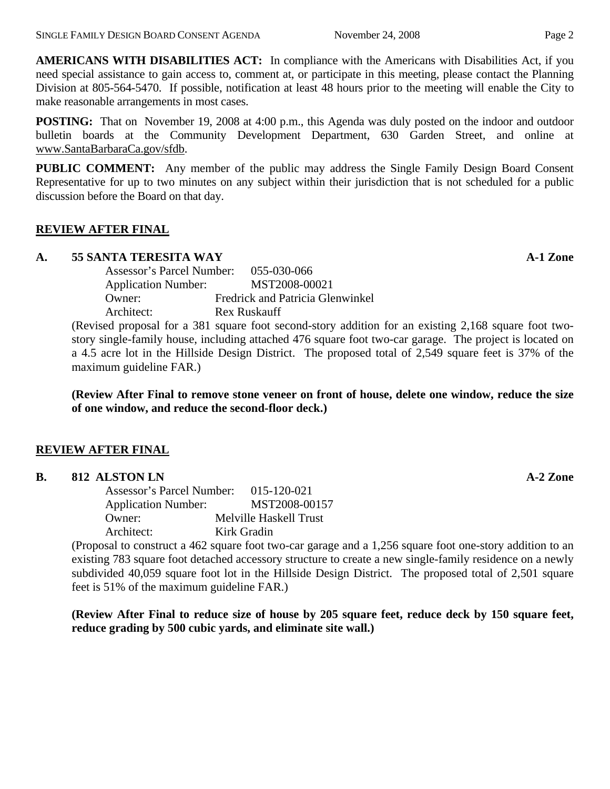**AMERICANS WITH DISABILITIES ACT:** In compliance with the Americans with Disabilities Act, if you need special assistance to gain access to, comment at, or participate in this meeting, please contact the Planning Division at 805-564-5470. If possible, notification at least 48 hours prior to the meeting will enable the City to make reasonable arrangements in most cases.

**POSTING:** That on November 19, 2008 at 4:00 p.m., this Agenda was duly posted on the indoor and outdoor bulletin boards at the Community Development Department, 630 Garden Street, and online at www.SantaBarbaraCa.gov/sfdb.

**PUBLIC COMMENT:** Any member of the public may address the Single Family Design Board Consent Representative for up to two minutes on any subject within their jurisdiction that is not scheduled for a public discussion before the Board on that day.

## **REVIEW AFTER FINAL**

### **A. 55 SANTA TERESITA WAY A-1 Zone**

 Assessor's Parcel Number: 055-030-066 Application Number: MST2008-00021 Owner: Fredrick and Patricia Glenwinkel Architect: Rex Ruskauff

(Revised proposal for a 381 square foot second-story addition for an existing 2,168 square foot twostory single-family house, including attached 476 square foot two-car garage. The project is located on a 4.5 acre lot in the Hillside Design District. The proposed total of 2,549 square feet is 37% of the maximum guideline FAR.)

**(Review After Final to remove stone veneer on front of house, delete one window, reduce the size of one window, and reduce the second-floor deck.)** 

## **REVIEW AFTER FINAL**

| 812 ALSTON LN | $A-2$ Zone |
|---------------|------------|
|---------------|------------|

 Assessor's Parcel Number: 015-120-021 Application Number: MST2008-00157 Owner: Melville Haskell Trust Architect: Kirk Gradin

(Proposal to construct a 462 square foot two-car garage and a 1,256 square foot one-story addition to an existing 783 square foot detached accessory structure to create a new single-family residence on a newly subdivided 40,059 square foot lot in the Hillside Design District. The proposed total of 2,501 square feet is 51% of the maximum guideline FAR.)

**(Review After Final to reduce size of house by 205 square feet, reduce deck by 150 square feet, reduce grading by 500 cubic yards, and eliminate site wall.)**